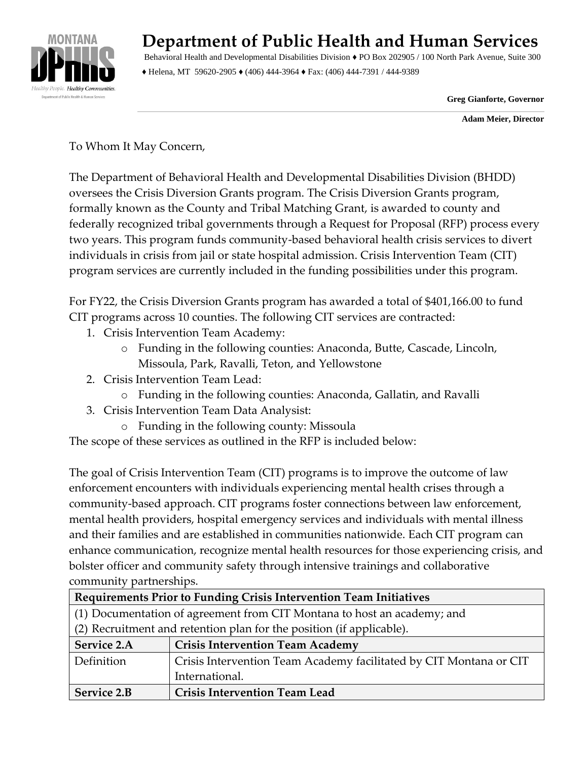

## **Department of Public Health and Human Services**

Behavioral Health and Developmental Disabilities Division ♦ PO Box 202905 / 100 North Park Avenue, Suite 300 ♦ Helena, MT 59620-2905 ♦ (406) 444-3964 ♦ Fax: (406) 444-7391 / 444-9389

 **Greg Gianforte, Governor** 

 **Adam Meier, Director**

To Whom It May Concern,

The Department of Behavioral Health and Developmental Disabilities Division (BHDD) oversees the Crisis Diversion Grants program. The Crisis Diversion Grants program, formally known as the County and Tribal Matching Grant, is awarded to county and federally recognized tribal governments through a Request for Proposal (RFP) process every two years. This program funds community-based behavioral health crisis services to divert individuals in crisis from jail or state hospital admission. Crisis Intervention Team (CIT) program services are currently included in the funding possibilities under this program.

For FY22, the Crisis Diversion Grants program has awarded a total of \$401,166.00 to fund CIT programs across 10 counties. The following CIT services are contracted:

- 1. Crisis Intervention Team Academy:
	- o Funding in the following counties: Anaconda, Butte, Cascade, Lincoln, Missoula, Park, Ravalli, Teton, and Yellowstone
- 2. Crisis Intervention Team Lead:
	- o Funding in the following counties: Anaconda, Gallatin, and Ravalli
- 3. Crisis Intervention Team Data Analysist:
	- o Funding in the following county: Missoula

The scope of these services as outlined in the RFP is included below:

The goal of Crisis Intervention Team (CIT) programs is to improve the outcome of law enforcement encounters with individuals experiencing mental health crises through a community-based approach. CIT programs foster connections between law enforcement, mental health providers, hospital emergency services and individuals with mental illness and their families and are established in communities nationwide. Each CIT program can enhance communication, recognize mental health resources for those experiencing crisis, and bolster officer and community safety through intensive trainings and collaborative community partnerships.

| Requirements Prior to Funding Crisis Intervention Team Initiatives      |                                                                    |
|-------------------------------------------------------------------------|--------------------------------------------------------------------|
| (1) Documentation of agreement from CIT Montana to host an academy; and |                                                                    |
| (2) Recruitment and retention plan for the position (if applicable).    |                                                                    |
| Service 2.A                                                             | <b>Crisis Intervention Team Academy</b>                            |
| Definition                                                              | Crisis Intervention Team Academy facilitated by CIT Montana or CIT |
|                                                                         | International.                                                     |
| Service 2.B                                                             | <b>Crisis Intervention Team Lead</b>                               |